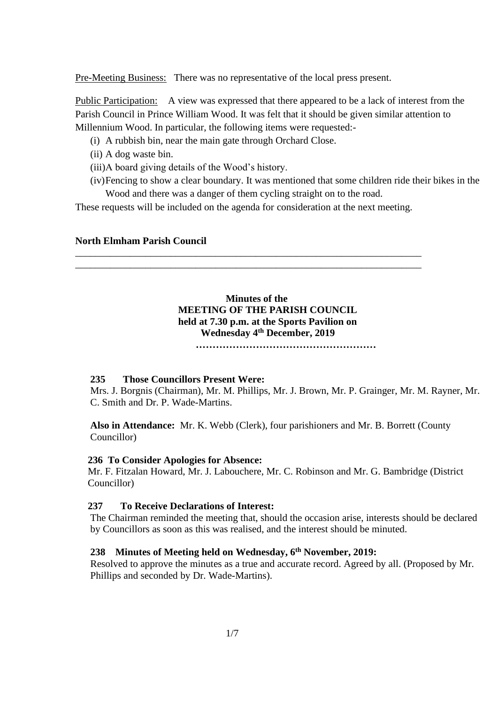Pre-Meeting Business: There was no representative of the local press present.

Public Participation: A view was expressed that there appeared to be a lack of interest from the Parish Council in Prince William Wood. It was felt that it should be given similar attention to Millennium Wood. In particular, the following items were requested:-

- (i) A rubbish bin, near the main gate through Orchard Close.
- (ii) A dog waste bin.
- (iii)A board giving details of the Wood's history.
- (iv)Fencing to show a clear boundary. It was mentioned that some children ride their bikes in the Wood and there was a danger of them cycling straight on to the road.

These requests will be included on the agenda for consideration at the next meeting.

\_\_\_\_\_\_\_\_\_\_\_\_\_\_\_\_\_\_\_\_\_\_\_\_\_\_\_\_\_\_\_\_\_\_\_\_\_\_\_\_\_\_\_\_\_\_\_\_\_\_\_\_\_\_\_\_\_\_\_\_\_\_\_\_\_\_\_\_\_ \_\_\_\_\_\_\_\_\_\_\_\_\_\_\_\_\_\_\_\_\_\_\_\_\_\_\_\_\_\_\_\_\_\_\_\_\_\_\_\_\_\_\_\_\_\_\_\_\_\_\_\_\_\_\_\_\_\_\_\_\_\_\_\_\_\_\_\_\_

## **North Elmham Parish Council**

# **Minutes of the MEETING OF THE PARISH COUNCIL held at 7.30 p.m. at the Sports Pavilion on Wednesday 4 th December, 2019**

 **………………………………………………**

## **235 Those Councillors Present Were:**

Mrs. J. Borgnis (Chairman), Mr. M. Phillips, Mr. J. Brown, Mr. P. Grainger, Mr. M. Rayner, Mr. C. Smith and Dr. P. Wade-Martins.

**Also in Attendance:** Mr. K. Webb (Clerk), four parishioners and Mr. B. Borrett (County Councillor)

#### **236 To Consider Apologies for Absence:**

 Mr. F. Fitzalan Howard, Mr. J. Labouchere, Mr. C. Robinson and Mr. G. Bambridge (District Councillor)

#### **237 To Receive Declarations of Interest:**

The Chairman reminded the meeting that, should the occasion arise, interests should be declared by Councillors as soon as this was realised, and the interest should be minuted.

## **238 Minutes of Meeting held on Wednesday, 6 th November, 2019:**

Resolved to approve the minutes as a true and accurate record. Agreed by all. (Proposed by Mr. Phillips and seconded by Dr. Wade-Martins).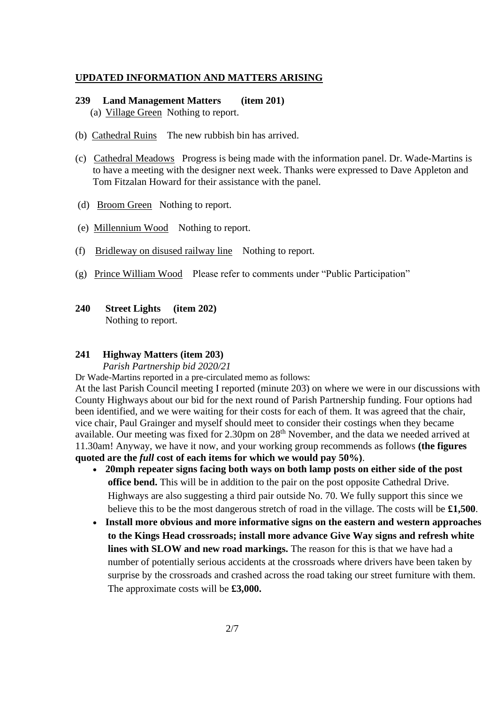#### **UPDATED INFORMATION AND MATTERS ARISING**

## **239 Land Management Matters (item 201)** (a) Village Green Nothing to report.

- (b) Cathedral Ruins The new rubbish bin has arrived.
- (c) Cathedral Meadows Progress is being made with the information panel. Dr. Wade-Martins is to have a meeting with the designer next week. Thanks were expressed to Dave Appleton and Tom Fitzalan Howard for their assistance with the panel.
- (d) Broom Green Nothing to report.
- (e) Millennium Wood Nothing to report.
- (f) Bridleway on disused railway line Nothing to report.
- (g) Prince William Wood Please refer to comments under "Public Participation"
- **240 Street Lights (item 202)** Nothing to report.

#### **241 Highway Matters (item 203)**

## *Parish Partnership bid 2020/21*

Dr Wade-Martins reported in a pre-circulated memo as follows:

At the last Parish Council meeting I reported (minute 203) on where we were in our discussions with County Highways about our bid for the next round of Parish Partnership funding. Four options had been identified, and we were waiting for their costs for each of them. It was agreed that the chair, vice chair, Paul Grainger and myself should meet to consider their costings when they became available. Our meeting was fixed for 2.30pm on 28<sup>th</sup> November, and the data we needed arrived at 11.30am! Anyway, we have it now, and your working group recommends as follows **(the figures quoted are the** *full* **cost of each items for which we would pay 50%)**.

- **20mph repeater signs facing both ways on both lamp posts on either side of the post office bend.** This will be in addition to the pair on the post opposite Cathedral Drive. Highways are also suggesting a third pair outside No. 70. We fully support this since we believe this to be the most dangerous stretch of road in the village. The costs will be **£1,500**.
- **Install more obvious and more informative signs on the eastern and western approaches to the Kings Head crossroads; install more advance Give Way signs and refresh white lines with SLOW and new road markings.** The reason for this is that we have had a number of potentially serious accidents at the crossroads where drivers have been taken by surprise by the crossroads and crashed across the road taking our street furniture with them. The approximate costs will be **£3,000.**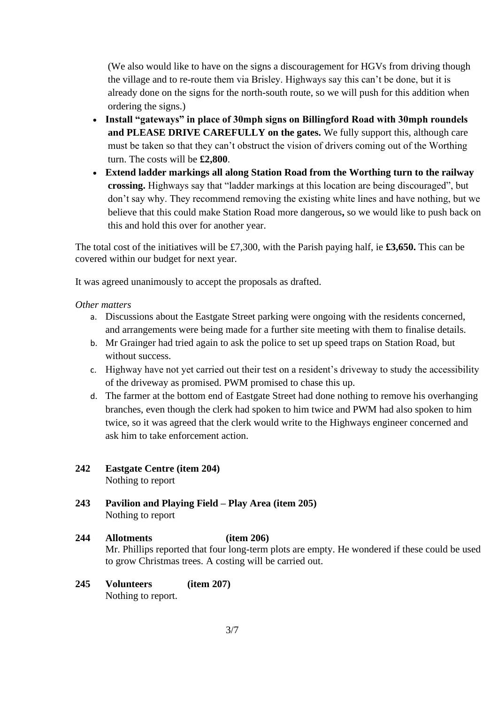(We also would like to have on the signs a discouragement for HGVs from driving though the village and to re-route them via Brisley. Highways say this can't be done, but it is already done on the signs for the north-south route, so we will push for this addition when ordering the signs.)

- **Install "gateways" in place of 30mph signs on Billingford Road with 30mph roundels and PLEASE DRIVE CAREFULLY on the gates.** We fully support this, although care must be taken so that they can't obstruct the vision of drivers coming out of the Worthing turn. The costs will be **£2,800**.
- **Extend ladder markings all along Station Road from the Worthing turn to the railway crossing.** Highways say that "ladder markings at this location are being discouraged", but don't say why. They recommend removing the existing white lines and have nothing, but we believe that this could make Station Road more dangerous**,** so we would like to push back on this and hold this over for another year.

The total cost of the initiatives will be £7,300, with the Parish paying half, ie **£3,650.** This can be covered within our budget for next year.

It was agreed unanimously to accept the proposals as drafted.

# *Other matters*

- a. Discussions about the Eastgate Street parking were ongoing with the residents concerned, and arrangements were being made for a further site meeting with them to finalise details.
- b. Mr Grainger had tried again to ask the police to set up speed traps on Station Road, but without success.
- c. Highway have not yet carried out their test on a resident's driveway to study the accessibility of the driveway as promised. PWM promised to chase this up.
- d. The farmer at the bottom end of Eastgate Street had done nothing to remove his overhanging branches, even though the clerk had spoken to him twice and PWM had also spoken to him twice, so it was agreed that the clerk would write to the Highways engineer concerned and ask him to take enforcement action.
- **242 Eastgate Centre (item 204)** Nothing to report
- **243 Pavilion and Playing Field – Play Area (item 205)** Nothing to report

# **244 Allotments (item 206)** Mr. Phillips reported that four long-term plots are empty. He wondered if these could be used to grow Christmas trees. A costing will be carried out.

## **245 Volunteers (item 207)** Nothing to report.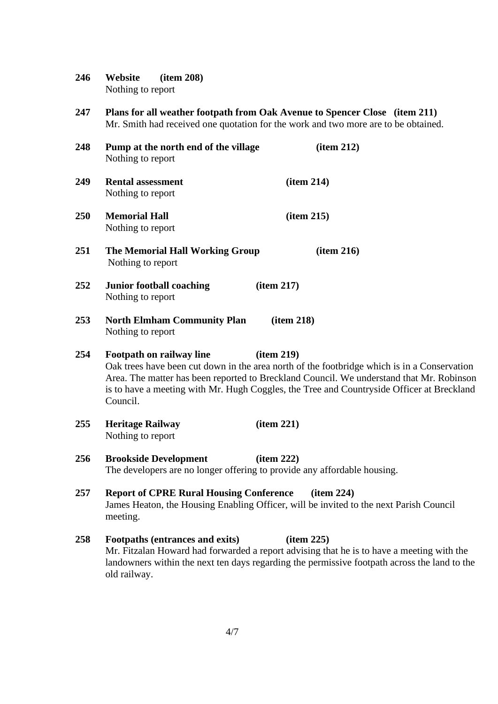**246 Website (item 208)** Nothing to report

**247 Plans for all weather footpath from Oak Avenue to Spencer Close (item 211)** Mr. Smith had received one quotation for the work and two more are to be obtained.

| 248 | Pump at the north end of the village<br>Nothing to report                                                                                                                                                                                                                                                                                 | item 212)                                                                                                                                                                                              |  |
|-----|-------------------------------------------------------------------------------------------------------------------------------------------------------------------------------------------------------------------------------------------------------------------------------------------------------------------------------------------|--------------------------------------------------------------------------------------------------------------------------------------------------------------------------------------------------------|--|
| 249 | <b>Rental assessment</b><br>Nothing to report                                                                                                                                                                                                                                                                                             | item 214)                                                                                                                                                                                              |  |
| 250 | <b>Memorial Hall</b><br>Nothing to report                                                                                                                                                                                                                                                                                                 | item 215)                                                                                                                                                                                              |  |
| 251 | <b>The Memorial Hall Working Group</b><br>Nothing to report                                                                                                                                                                                                                                                                               | (item 216)                                                                                                                                                                                             |  |
| 252 | <b>Junior football coaching</b><br>Nothing to report                                                                                                                                                                                                                                                                                      | item 217)                                                                                                                                                                                              |  |
| 253 | <b>North Elmham Community Plan</b><br>Nothing to report                                                                                                                                                                                                                                                                                   | item 218)                                                                                                                                                                                              |  |
| 254 | Footpath on railway line<br>item 219)<br>Oak trees have been cut down in the area north of the footbridge which is in a Conservation<br>Area. The matter has been reported to Breckland Council. We understand that Mr. Robinson<br>is to have a meeting with Mr. Hugh Coggles, the Tree and Countryside Officer at Breckland<br>Council. |                                                                                                                                                                                                        |  |
| 255 | <b>Heritage Railway</b><br>Nothing to report                                                                                                                                                                                                                                                                                              | item 221)                                                                                                                                                                                              |  |
| 256 | <b>Brookside Development</b>                                                                                                                                                                                                                                                                                                              | item 222)<br>The developers are no longer offering to provide any affordable housing.                                                                                                                  |  |
| 257 | <b>Report of CPRE Rural Housing Conference</b><br>meeting.                                                                                                                                                                                                                                                                                | item 224)<br>James Heaton, the Housing Enabling Officer, will be invited to the next Parish Council                                                                                                    |  |
| 258 | Footpaths (entrances and exits)<br>old railway.                                                                                                                                                                                                                                                                                           | item 225)<br>Mr. Fitzalan Howard had forwarded a report advising that he is to have a meeting with the<br>landowners within the next ten days regarding the permissive footpath across the land to the |  |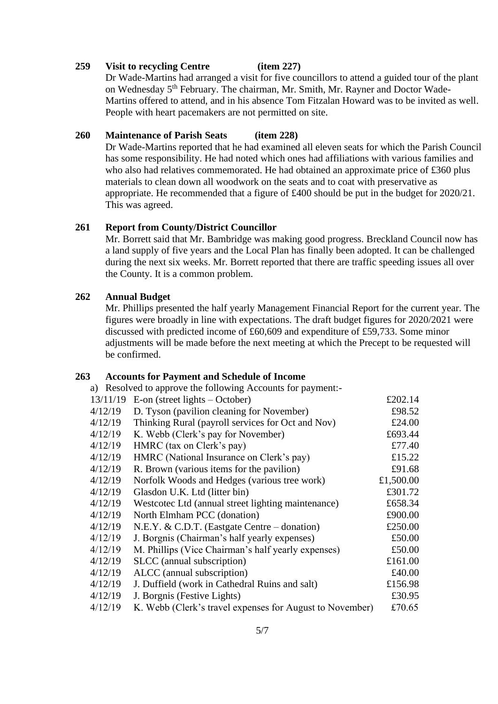## **259 Visit to recycling Centre (item 227)**

Dr Wade-Martins had arranged a visit for five councillors to attend a guided tour of the plant on Wednesday 5<sup>th</sup> February. The chairman, Mr. Smith, Mr. Rayner and Doctor Wade-Martins offered to attend, and in his absence Tom Fitzalan Howard was to be invited as well. People with heart pacemakers are not permitted on site.

# **260 Maintenance of Parish Seats (item 228)**

Dr Wade-Martins reported that he had examined all eleven seats for which the Parish Council has some responsibility. He had noted which ones had affiliations with various families and who also had relatives commemorated. He had obtained an approximate price of £360 plus materials to clean down all woodwork on the seats and to coat with preservative as appropriate. He recommended that a figure of £400 should be put in the budget for 2020/21. This was agreed.

# **261 Report from County/District Councillor**

Mr. Borrett said that Mr. Bambridge was making good progress. Breckland Council now has a land supply of five years and the Local Plan has finally been adopted. It can be challenged during the next six weeks. Mr. Borrett reported that there are traffic speeding issues all over the County. It is a common problem.

## **262 Annual Budget**

Mr. Phillips presented the half yearly Management Financial Report for the current year. The figures were broadly in line with expectations. The draft budget figures for 2020/2021 were discussed with predicted income of £60,609 and expenditure of £59,733. Some minor adjustments will be made before the next meeting at which the Precept to be requested will be confirmed.

## **263 Accounts for Payment and Schedule of Income**

a) Resolved to approve the following Accounts for payment:-

| 13/11/19 | E-on (street lights $-$ October)                         | £202.14   |
|----------|----------------------------------------------------------|-----------|
| 4/12/19  | D. Tyson (pavilion cleaning for November)                | £98.52    |
| 4/12/19  | Thinking Rural (payroll services for Oct and Nov)        | £24.00    |
| 4/12/19  | K. Webb (Clerk's pay for November)                       | £693.44   |
| 4/12/19  | HMRC (tax on Clerk's pay)                                | £77.40    |
| 4/12/19  | HMRC (National Insurance on Clerk's pay)                 | £15.22    |
| 4/12/19  | R. Brown (various items for the pavilion)                | £91.68    |
| 4/12/19  | Norfolk Woods and Hedges (various tree work)             | £1,500.00 |
| 4/12/19  | Glasdon U.K. Ltd (litter bin)                            | £301.72   |
| 4/12/19  | Westcotec Ltd (annual street lighting maintenance)       | £658.34   |
| 4/12/19  | North Elmham PCC (donation)                              | £900.00   |
| 4/12/19  | N.E.Y. & C.D.T. (Eastgate Centre – donation)             | £250.00   |
| 4/12/19  | J. Borgnis (Chairman's half yearly expenses)             | £50.00    |
| 4/12/19  | M. Phillips (Vice Chairman's half yearly expenses)       | £50.00    |
| 4/12/19  | SLCC (annual subscription)                               | £161.00   |
| 4/12/19  | ALCC (annual subscription)                               | £40.00    |
| 4/12/19  | J. Duffield (work in Cathedral Ruins and salt)           | £156.98   |
| 4/12/19  | J. Borgnis (Festive Lights)                              | £30.95    |
| 4/12/19  | K. Webb (Clerk's travel expenses for August to November) | £70.65    |
|          |                                                          |           |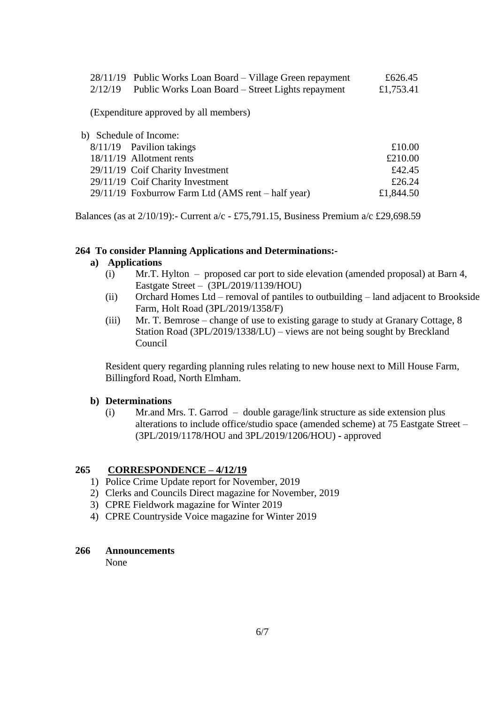|         | $28/11/19$ Public Works Loan Board – Village Green repayment | £626.45   |
|---------|--------------------------------------------------------------|-----------|
| 2/12/19 | Public Works Loan Board – Street Lights repayment            | £1,753.41 |
|         | (Expenditure approved by all members)                        |           |
|         | b) Schedule of Income:                                       |           |

| $8/11/19$ Pavilion takings                         | £10.00    |
|----------------------------------------------------|-----------|
| 18/11/19 Allotment rents                           | £210.00   |
| 29/11/19 Coif Charity Investment                   | £42.45    |
| 29/11/19 Coif Charity Investment                   | £26.24    |
| 29/11/19 Foxburrow Farm Ltd (AMS rent – half year) | £1,844.50 |

Balances (as at  $2/10/19$ ):- Current  $a/c - \text{\textsterling}75,791.15$ , Business Premium  $a/c \text{\textsterling}29,698.59$ 

## **264 To consider Planning Applications and Determinations:-**

# **a) Applications**

- (i) Mr.T. Hylton proposed car port to side elevation (amended proposal) at Barn 4, Eastgate Street –(3PL/2019/1139/HOU)
- (ii) Orchard Homes Ltd removal of pantiles to outbuilding land adjacent to Brookside Farm, Holt Road (3PL/2019/1358/F)
- (iii) Mr. T. Bemrose change of use to existing garage to study at Granary Cottage, 8 Station Road (3PL/2019/1338/LU) – views are not being sought by Breckland Council

Resident query regarding planning rules relating to new house next to Mill House Farm, Billingford Road, North Elmham.

#### **b) Determinations**

(i) Mr.and Mrs. T. Garrod – double garage/link structure as side extension plus alterations to include office/studio space (amended scheme) at 75 Eastgate Street – (3PL/2019/1178/HOU and 3PL/2019/1206/HOU) **-** approved

## **265 CORRESPONDENCE – 4/12/19**

- 1) Police Crime Update report for November, 2019
- 2) Clerks and Councils Direct magazine for November, 2019
- 3) CPRE Fieldwork magazine for Winter 2019
- 4) CPRE Countryside Voice magazine for Winter 2019

#### **266 Announcements**

None